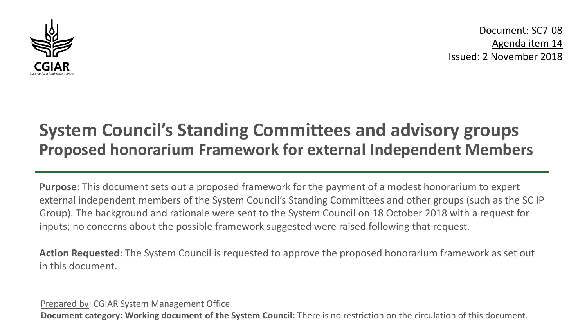

Document: SC7-08 Agenda item 14 Issued: 2 November 2018

## **System Council's Standing Committees and advisory groups Proposed honorarium Framework for external Independent Members**

**Purpose**: This document sets out a proposed framework for the payment of a modest honorarium to expert external independent members of the System Council's Standing Committees and other groups (such as the SC IP Group). The background and rationale were sent to the System Council on 18 October 2018 with a request for inputs; no concerns about the possible framework suggested were raised following that request.

**Action Requested**: The System Council is requested to approve the proposed honorarium framework as set out in this document.

Prepared by: CGIAR System Management Office **Document category: Working document of the System Council:** There is no restriction on the circulation of this document.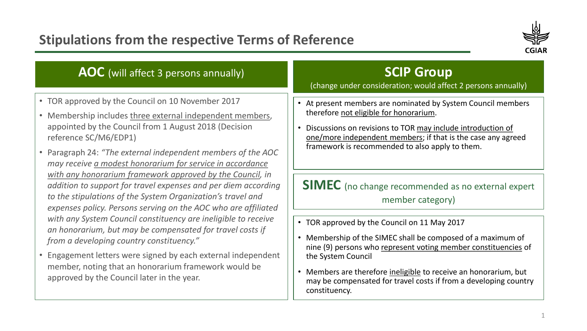## **Stipulations from the respective Terms of Reference**



| • TOR approved by the Council on 10 November 2017                                                                                                                                                                                                                                                                                                                                                                                                                                                                                                                                                                                                                                                                                                                                                                                                                                          | At present members are nominated by System Council members                                                                                                                                                                                                                                                                                                                                                                                                                                                                                                                                                                                         |
|--------------------------------------------------------------------------------------------------------------------------------------------------------------------------------------------------------------------------------------------------------------------------------------------------------------------------------------------------------------------------------------------------------------------------------------------------------------------------------------------------------------------------------------------------------------------------------------------------------------------------------------------------------------------------------------------------------------------------------------------------------------------------------------------------------------------------------------------------------------------------------------------|----------------------------------------------------------------------------------------------------------------------------------------------------------------------------------------------------------------------------------------------------------------------------------------------------------------------------------------------------------------------------------------------------------------------------------------------------------------------------------------------------------------------------------------------------------------------------------------------------------------------------------------------------|
| • Membership includes three external independent members,<br>appointed by the Council from 1 August 2018 (Decision<br>reference SC/M6/EDP1)<br>• Paragraph 24: "The external independent members of the AOC<br>may receive a modest honorarium for service in accordance<br>with any honorarium framework approved by the Council, in<br>addition to support for travel expenses and per diem according<br>to the stipulations of the System Organization's travel and<br>expenses policy. Persons serving on the AOC who are affiliated<br>with any System Council constituency are ineligible to receive<br>an honorarium, but may be compensated for travel costs if<br>from a developing country constituency."<br>• Engagement letters were signed by each external independent<br>member, noting that an honorarium framework would be<br>approved by the Council later in the year. | therefore not eligible for honorarium.<br>Discussions on revisions to TOR may include introduction of<br>one/more independent members; if that is the case any agreed<br>framework is recommended to also apply to them.<br><b>SIMEC</b> (no change recommended as no external expert<br>member category)<br>TOR approved by the Council on 11 May 2017<br>Membership of the SIMEC shall be composed of a maximum of<br>nine (9) persons who represent voting member constituencies of<br>the System Council<br>Members are therefore ineligible to receive an honorarium, but<br>may be compensated for travel costs if from a developing country |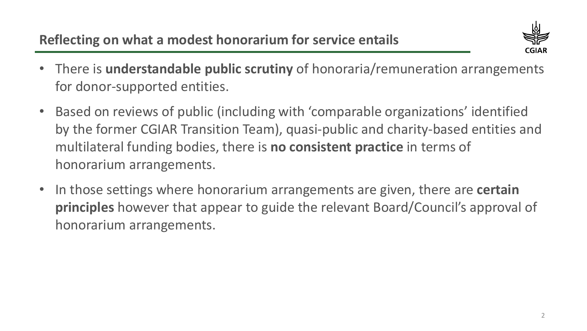

- There is **understandable public scrutiny** of honoraria/remuneration arrangements for donor-supported entities.
- Based on reviews of public (including with 'comparable organizations' identified by the former CGIAR Transition Team), quasi-public and charity-based entities and multilateral funding bodies, there is **no consistent practice** in terms of honorarium arrangements.
- In those settings where honorarium arrangements are given, there are **certain principles** however that appear to guide the relevant Board/Council's approval of honorarium arrangements.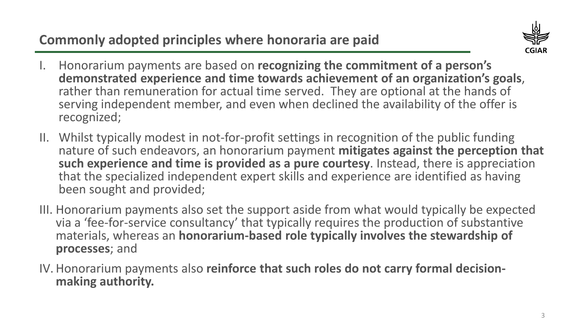**Commonly adopted principles where honoraria are paid**



- I. Honorarium payments are based on **recognizing the commitment of a person's demonstrated experience and time towards achievement of an organization's goals**, rather than remuneration for actual time served. They are optional at the hands of serving independent member, and even when declined the availability of the offer is recognized;
- II. Whilst typically modest in not-for-profit settings in recognition of the public funding nature of such endeavors, an honorarium payment **mitigates against the perception that such experience and time is provided as a pure courtesy**. Instead, there is appreciation that the specialized independent expert skills and experience are identified as having been sought and provided;
- III. Honorarium payments also set the support aside from what would typically be expected via a 'fee-for-service consultancy' that typically requires the production of substantive materials, whereas an **honorarium-based role typically involves the stewardship of processes**; and
- IV. Honorarium payments also **reinforce that such roles do not carry formal decision- making authority.**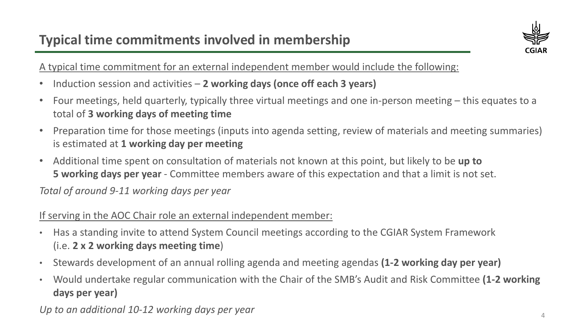

A typical time commitment for an external independent member would include the following:

- Induction session and activities **2 working days (once off each 3 years)**
- Four meetings, held quarterly, typically three virtual meetings and one in-person meeting this equates to a total of **3 working days of meeting time**
- Preparation time for those meetings (inputs into agenda setting, review of materials and meeting summaries) is estimated at **1 working day per meeting**
- Additional time spent on consultation of materials not known at this point, but likely to be **up to 5 working days per year** - Committee members aware of this expectation and that a limit is not set.

*Total of around 9-11 working days per year*

## If serving in the AOC Chair role an external independent member:

- Has a standing invite to attend System Council meetings according to the CGIAR System Framework (i.e. **2 x 2 working days meeting time**)
- Stewards development of an annual rolling agenda and meeting agendas **(1-2 working day per year)**
- Would undertake regular communication with the Chair of the SMB's Audit and Risk Committee **(1-2 working days per year)**

Up to an additional 10-12 working days per year  $4\,$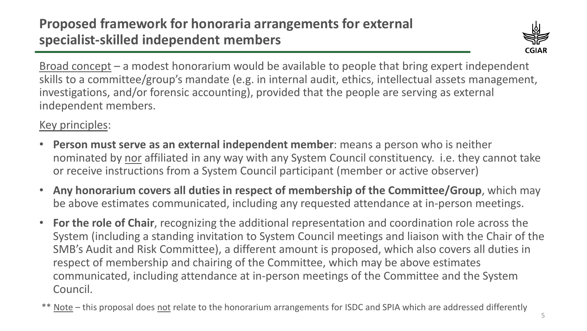

Broad concept – a modest honorarium would be available to people that bring expert independent skills to a committee/group's mandate (e.g. in internal audit, ethics, intellectual assets management, investigations, and/or forensic accounting), provided that the people are serving as external independent members.

## Key principles:

- **Person must serve as an external independent member**: means a person who is neither nominated by nor affiliated in any way with any System Council constituency. i.e. they cannot take or receive instructions from a System Council participant (member or active observer)
- **Any honorarium covers all duties in respect of membership of the Committee/Group**, which may be above estimates communicated, including any requested attendance at in-person meetings.
- **For the role of Chair**, recognizing the additional representation and coordination role across the System (including a standing invitation to System Council meetings and liaison with the Chair of the SMB's Audit and Risk Committee), a different amount is proposed, which also covers all duties in respect of membership and chairing of the Committee, which may be above estimates communicated, including attendance at in-person meetings of the Committee and the System Council.
- \*\* Note this proposal does not relate to the honorarium arrangements for ISDC and SPIA which are addressed differently